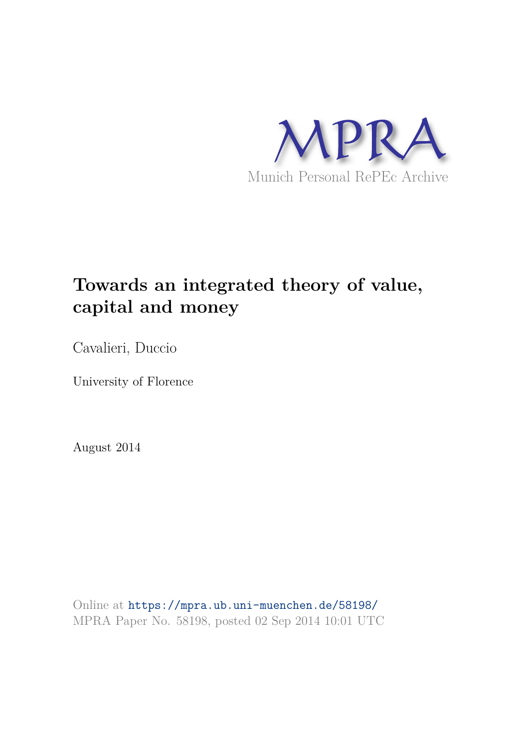

# **Towards an integrated theory of value, capital and money**

Cavalieri, Duccio

University of Florence

August 2014

Online at https://mpra.ub.uni-muenchen.de/58198/ MPRA Paper No. 58198, posted 02 Sep 2014 10:01 UTC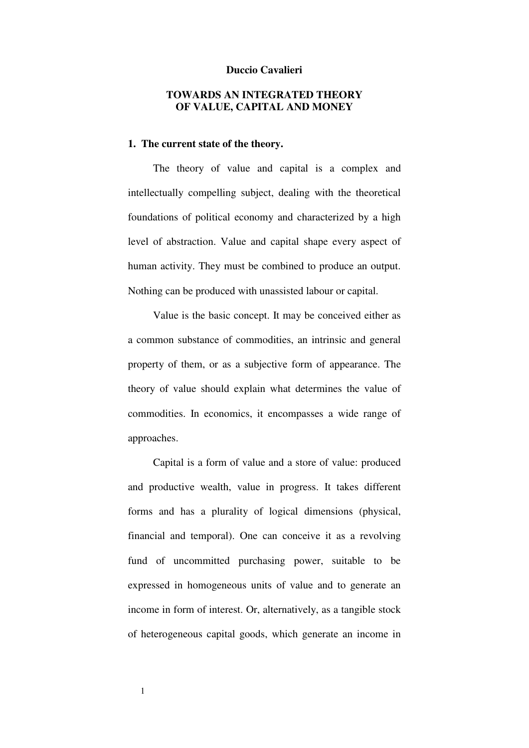#### **Duccio Cavalieri**

## **TOWARDS AN INTEGRATED THEORY OF VALUE, CAPITAL AND MONEY**

## **1. The current state of the theory.**

The theory of value and capital is a complex and intellectually compelling subject, dealing with the theoretical foundations of political economy and characterized by a high level of abstraction. Value and capital shape every aspect of human activity. They must be combined to produce an output. Nothing can be produced with unassisted labour or capital.

Value is the basic concept. It may be conceived either as a common substance of commodities, an intrinsic and general property of them, or as a subjective form of appearance. The theory of value should explain what determines the value of commodities. In economics, it encompasses a wide range of approaches.

Capital is a form of value and a store of value: produced and productive wealth, value in progress. It takes different forms and has a plurality of logical dimensions (physical, financial and temporal). One can conceive it as a revolving fund of uncommitted purchasing power, suitable to be expressed in homogeneous units of value and to generate an income in form of interest. Or, alternatively, as a tangible stock of heterogeneous capital goods, which generate an income in

1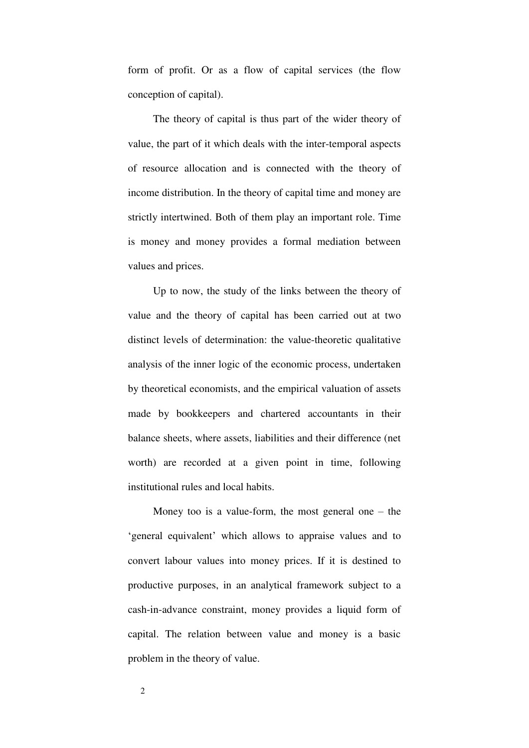form of profit. Or as a flow of capital services (the flow conception of capital).

The theory of capital is thus part of the wider theory of value, the part of it which deals with the inter-temporal aspects of resource allocation and is connected with the theory of income distribution. In the theory of capital time and money are strictly intertwined. Both of them play an important role. Time is money and money provides a formal mediation between values and prices.

Up to now, the study of the links between the theory of value and the theory of capital has been carried out at two distinct levels of determination: the value-theoretic qualitative analysis of the inner logic of the economic process, undertaken by theoretical economists, and the empirical valuation of assets made by bookkeepers and chartered accountants in their balance sheets, where assets, liabilities and their difference (net worth) are recorded at a given point in time, following institutional rules and local habits.

Money too is a value-form, the most general one  $-$  the 'general equivalent' which allows to appraise values and to convert labour values into money prices. If it is destined to productive purposes, in an analytical framework subject to a cash-in-advance constraint, money provides a liquid form of capital. The relation between value and money is a basic problem in the theory of value.

2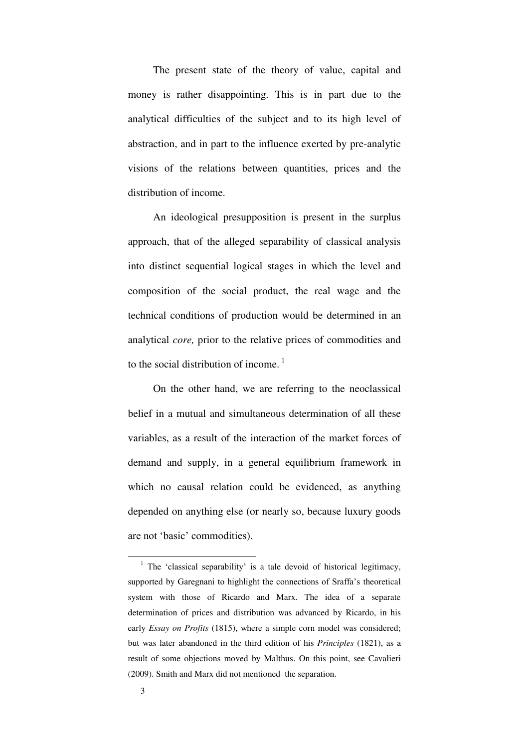The present state of the theory of value, capital and money is rather disappointing. This is in part due to the analytical difficulties of the subject and to its high level of abstraction, and in part to the influence exerted by pre-analytic visions of the relations between quantities, prices and the distribution of income.

An ideological presupposition is present in the surplus approach, that of the alleged separability of classical analysis into distinct sequential logical stages in which the level and composition of the social product, the real wage and the technical conditions of production would be determined in an analytical *core,* prior to the relative prices of commodities and to the social distribution of income.<sup>1</sup>

On the other hand, we are referring to the neoclassical belief in a mutual and simultaneous determination of all these variables, as a result of the interaction of the market forces of demand and supply, in a general equilibrium framework in which no causal relation could be evidenced, as anything depended on anything else (or nearly so, because luxury goods are not 'basic' commodities).

<sup>&</sup>lt;sup>1</sup> The 'classical separability' is a tale devoid of historical legitimacy, supported by Garegnani to highlight the connections of Sraffa's theoretical system with those of Ricardo and Marx. The idea of a separate determination of prices and distribution was advanced by Ricardo, in his early *Essay on Profits* (1815), where a simple corn model was considered; but was later abandoned in the third edition of his *Principles* (1821), as a result of some objections moved by Malthus. On this point, see Cavalieri (2009). Smith and Marx did not mentioned the separation.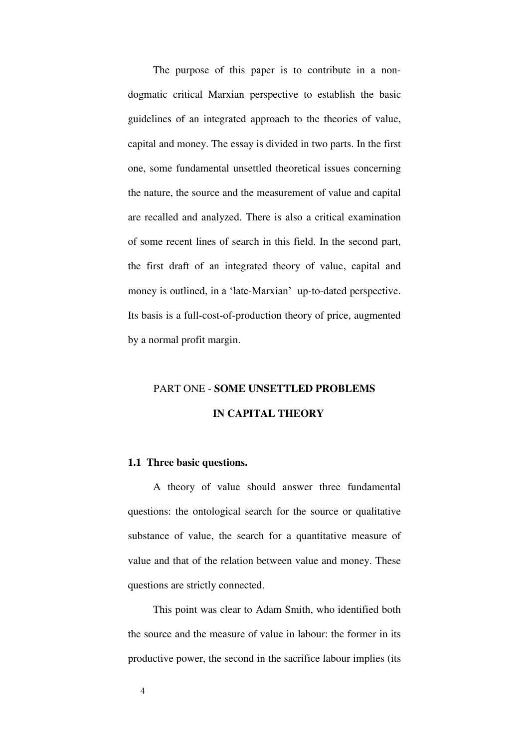The purpose of this paper is to contribute in a nondogmatic critical Marxian perspective to establish the basic guidelines of an integrated approach to the theories of value, capital and money. The essay is divided in two parts. In the first one, some fundamental unsettled theoretical issues concerning the nature, the source and the measurement of value and capital are recalled and analyzed. There is also a critical examination of some recent lines of search in this field. In the second part, the first draft of an integrated theory of value, capital and money is outlined, in a 'late-Marxian' up-to-dated perspective. Its basis is a full-cost-of-production theory of price, augmented by a normal profit margin.

## PART ONE - **SOME UNSETTLED PROBLEMS IN CAPITAL THEORY**

## **1.1 Three basic questions.**

A theory of value should answer three fundamental questions: the ontological search for the source or qualitative substance of value, the search for a quantitative measure of value and that of the relation between value and money. These questions are strictly connected.

This point was clear to Adam Smith, who identified both the source and the measure of value in labour: the former in its productive power, the second in the sacrifice labour implies (its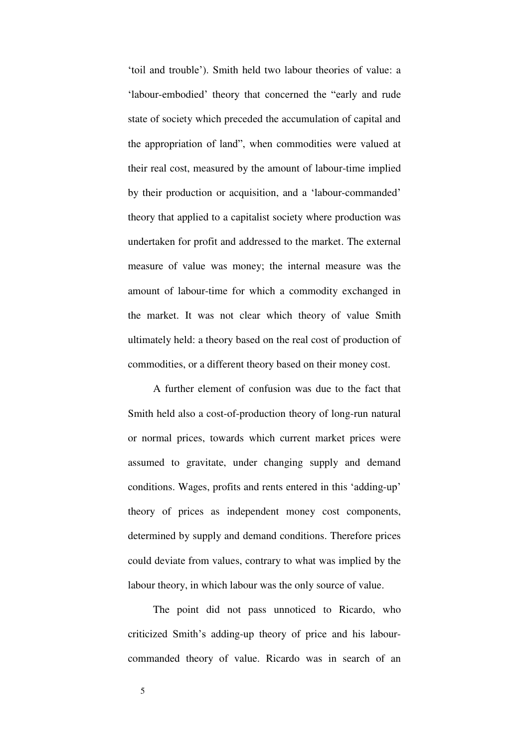'toil and trouble'). Smith held two labour theories of value: a 'labour-embodied' theory that concerned the "early and rude state of society which preceded the accumulation of capital and the appropriation of land", when commodities were valued at their real cost, measured by the amount of labour-time implied by their production or acquisition, and a 'labour-commanded' theory that applied to a capitalist society where production was undertaken for profit and addressed to the market. The external measure of value was money; the internal measure was the amount of labour-time for which a commodity exchanged in the market. It was not clear which theory of value Smith ultimately held: a theory based on the real cost of production of commodities, or a different theory based on their money cost.

A further element of confusion was due to the fact that Smith held also a cost-of-production theory of long-run natural or normal prices, towards which current market prices were assumed to gravitate, under changing supply and demand conditions. Wages, profits and rents entered in this 'adding-up' theory of prices as independent money cost components, determined by supply and demand conditions. Therefore prices could deviate from values, contrary to what was implied by the labour theory, in which labour was the only source of value.

The point did not pass unnoticed to Ricardo, who criticized Smith's adding-up theory of price and his labourcommanded theory of value. Ricardo was in search of an

5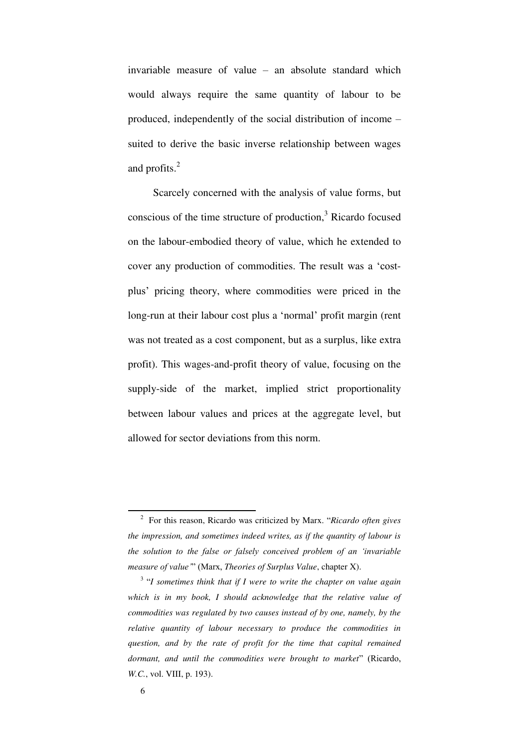invariable measure of value – an absolute standard which would always require the same quantity of labour to be produced, independently of the social distribution of income – suited to derive the basic inverse relationship between wages and profits.<sup>2</sup>

Scarcely concerned with the analysis of value forms, but conscious of the time structure of production, $3$  Ricardo focused on the labour-embodied theory of value, which he extended to cover any production of commodities. The result was a 'costplus' pricing theory, where commodities were priced in the long-run at their labour cost plus a 'normal' profit margin (rent was not treated as a cost component, but as a surplus, like extra profit). This wages-and-profit theory of value, focusing on the supply-side of the market, implied strict proportionality between labour values and prices at the aggregate level, but allowed for sector deviations from this norm.

<sup>2</sup> For this reason, Ricardo was criticized by Marx. "*Ricardo often gives the impression, and sometimes indeed writes, as if the quantity of labour is the solution to the false or falsely conceived problem of an 'invariable measure of value'*" (Marx, *Theories of Surplus Value*, chapter X).

<sup>3</sup> "*I sometimes think that if I were to write the chapter on value again which is in my book, I should acknowledge that the relative value of commodities was regulated by two causes instead of by one, namely, by the relative quantity of labour necessary to produce the commodities in question, and by the rate of profit for the time that capital remained dormant, and until the commodities were brought to market*" (Ricardo, *W.C.*, vol. VIII, p. 193).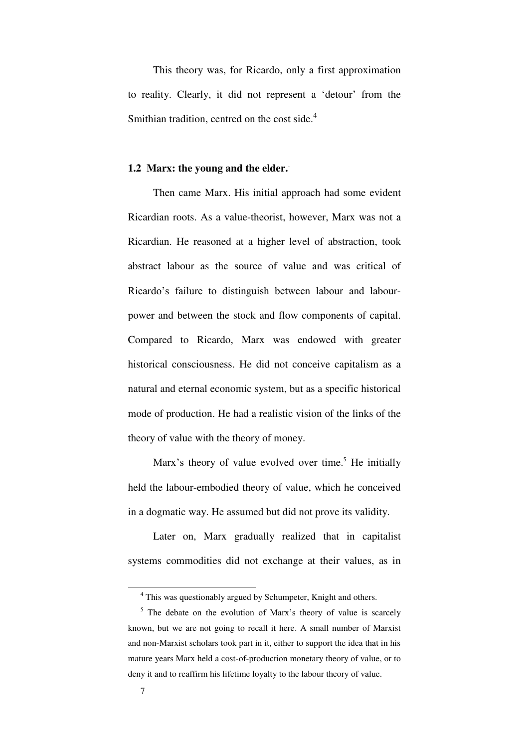This theory was, for Ricardo, only a first approximation to reality. Clearly, it did not represent a 'detour' from the Smithian tradition, centred on the cost side.<sup>4</sup>

### **1.2 Marx: the young and the elder.**.

Then came Marx. His initial approach had some evident Ricardian roots. As a value-theorist, however, Marx was not a Ricardian. He reasoned at a higher level of abstraction, took abstract labour as the source of value and was critical of Ricardo's failure to distinguish between labour and labourpower and between the stock and flow components of capital. Compared to Ricardo, Marx was endowed with greater historical consciousness. He did not conceive capitalism as a natural and eternal economic system, but as a specific historical mode of production. He had a realistic vision of the links of the theory of value with the theory of money.

Marx's theory of value evolved over time.<sup>5</sup> He initially held the labour-embodied theory of value, which he conceived in a dogmatic way. He assumed but did not prove its validity.

Later on, Marx gradually realized that in capitalist systems commodities did not exchange at their values, as in

<sup>&</sup>lt;sup>4</sup> This was questionably argued by Schumpeter, Knight and others.

<sup>&</sup>lt;sup>5</sup> The debate on the evolution of Marx's theory of value is scarcely known, but we are not going to recall it here. A small number of Marxist and non-Marxist scholars took part in it, either to support the idea that in his mature years Marx held a cost-of-production monetary theory of value, or to deny it and to reaffirm his lifetime loyalty to the labour theory of value.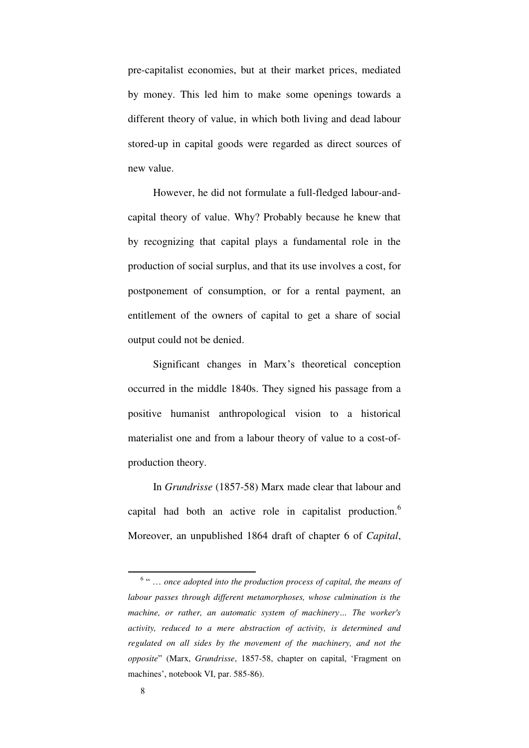pre-capitalist economies, but at their market prices, mediated by money. This led him to make some openings towards a different theory of value, in which both living and dead labour stored-up in capital goods were regarded as direct sources of new value.

However, he did not formulate a full-fledged labour-andcapital theory of value. Why? Probably because he knew that by recognizing that capital plays a fundamental role in the production of social surplus, and that its use involves a cost, for postponement of consumption, or for a rental payment, an entitlement of the owners of capital to get a share of social output could not be denied.

Significant changes in Marx's theoretical conception occurred in the middle 1840s. They signed his passage from a positive humanist anthropological vision to a historical materialist one and from a labour theory of value to a cost-ofproduction theory.

In *Grundrisse* (1857-58) Marx made clear that labour and capital had both an active role in capitalist production.<sup>6</sup> Moreover, an unpublished 1864 draft of chapter 6 of *Capital*,

<sup>&</sup>lt;sup>6</sup> " ... once adopted into the production process of capital, the means of *labour passes through different metamorphoses, whose culmination is the machine, or rather, an automatic system of machinery… The worker's activity, reduced to a mere abstraction of activity, is determined and regulated on all sides by the movement of the machinery, and not the opposite*" (Marx, *Grundrisse*, 1857-58, chapter on capital, 'Fragment on machines', notebook VI, par. 585-86).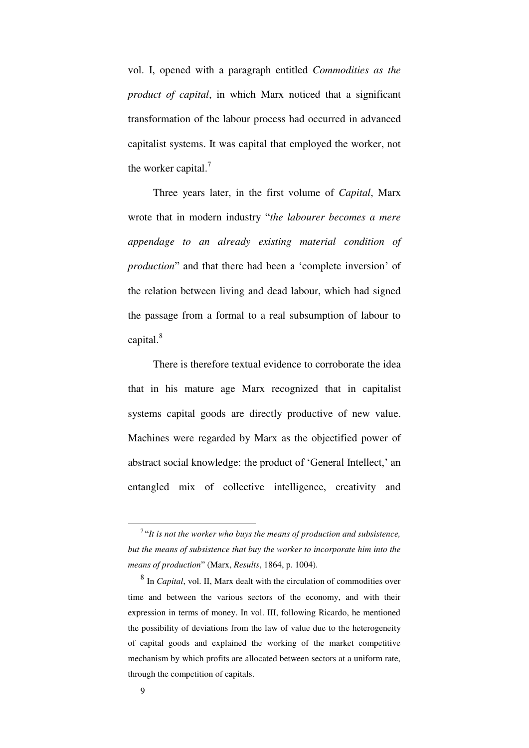vol. I, opened with a paragraph entitled *Commodities as the product of capital*, in which Marx noticed that a significant transformation of the labour process had occurred in advanced capitalist systems. It was capital that employed the worker, not the worker capital.<sup>7</sup>

Three years later, in the first volume of *Capital*, Marx wrote that in modern industry "*the labourer becomes a mere appendage to an already existing material condition of production*" and that there had been a 'complete inversion' of the relation between living and dead labour, which had signed the passage from a formal to a real subsumption of labour to capital.<sup>8</sup>

There is therefore textual evidence to corroborate the idea that in his mature age Marx recognized that in capitalist systems capital goods are directly productive of new value. Machines were regarded by Marx as the objectified power of abstract social knowledge: the product of 'General Intellect,' an entangled mix of collective intelligence, creativity and

<sup>7</sup>"*It is not the worker who buys the means of production and subsistence, but the means of subsistence that buy the worker to incorporate him into the means of production*" (Marx, *Results*, 1864, p. 1004).

<sup>8</sup> In *Capital*, vol. II, Marx dealt with the circulation of commodities over time and between the various sectors of the economy, and with their expression in terms of money. In vol. III, following Ricardo, he mentioned the possibility of deviations from the law of value due to the heterogeneity of capital goods and explained the working of the market competitive mechanism by which profits are allocated between sectors at a uniform rate, through the competition of capitals.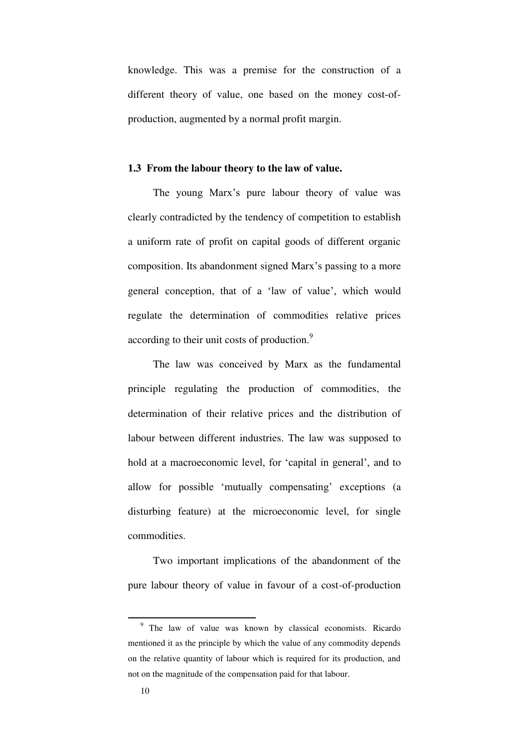knowledge. This was a premise for the construction of a different theory of value, one based on the money cost-ofproduction, augmented by a normal profit margin.

#### **1.3 From the labour theory to the law of value.**

The young Marx's pure labour theory of value was clearly contradicted by the tendency of competition to establish a uniform rate of profit on capital goods of different organic composition. Its abandonment signed Marx's passing to a more general conception, that of a 'law of value', which would regulate the determination of commodities relative prices according to their unit costs of production.<sup>9</sup>

The law was conceived by Marx as the fundamental principle regulating the production of commodities, the determination of their relative prices and the distribution of labour between different industries. The law was supposed to hold at a macroeconomic level, for 'capital in general', and to allow for possible 'mutually compensating' exceptions (a disturbing feature) at the microeconomic level, for single commodities.

Two important implications of the abandonment of the pure labour theory of value in favour of a cost-of-production

<sup>&</sup>lt;sup>9</sup> The law of value was known by classical economists. Ricardo mentioned it as the principle by which the value of any commodity depends on the relative quantity of labour which is required for its production, and not on the magnitude of the compensation paid for that labour.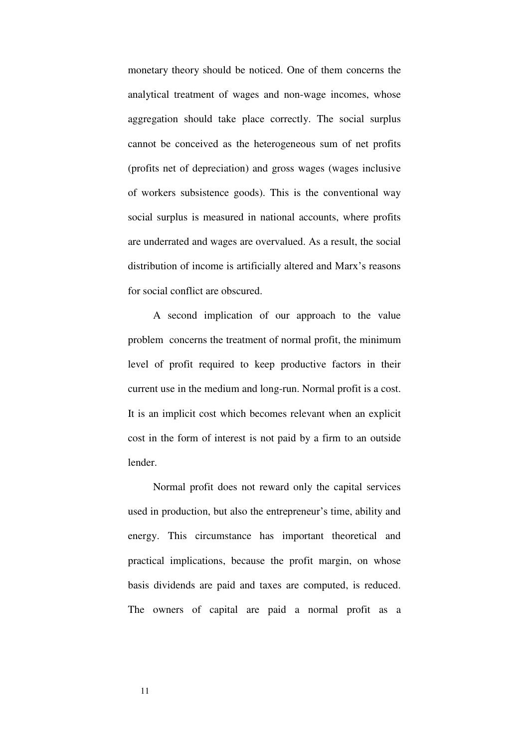monetary theory should be noticed. One of them concerns the analytical treatment of wages and non-wage incomes, whose aggregation should take place correctly. The social surplus cannot be conceived as the heterogeneous sum of net profits (profits net of depreciation) and gross wages (wages inclusive of workers subsistence goods). This is the conventional way social surplus is measured in national accounts, where profits are underrated and wages are overvalued. As a result, the social distribution of income is artificially altered and Marx's reasons for social conflict are obscured.

A second implication of our approach to the value problem concerns the treatment of normal profit, the minimum level of profit required to keep productive factors in their current use in the medium and long-run. Normal profit is a cost. It is an implicit cost which becomes relevant when an explicit cost in the form of interest is not paid by a firm to an outside lender.

Normal profit does not reward only the capital services used in production, but also the entrepreneur's time, ability and energy. This circumstance has important theoretical and practical implications, because the profit margin, on whose basis dividends are paid and taxes are computed, is reduced. The owners of capital are paid a normal profit as a

11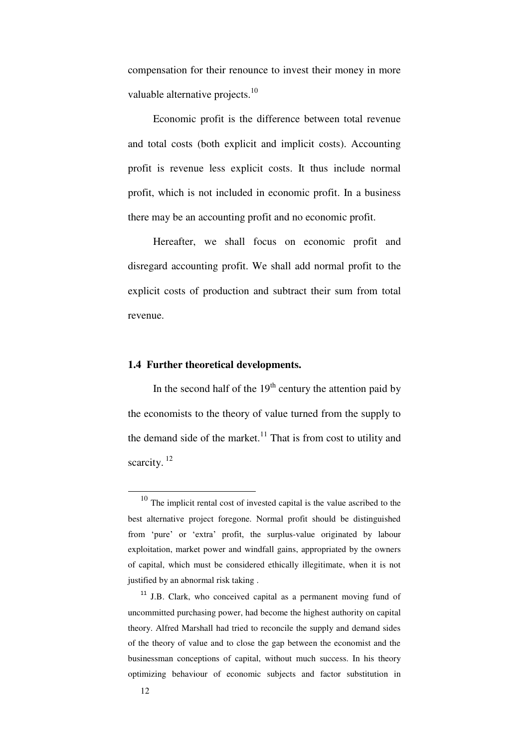compensation for their renounce to invest their money in more valuable alternative projects.<sup>10</sup>

Economic profit is the difference between total revenue and total costs (both explicit and implicit costs). Accounting profit is revenue less explicit costs. It thus include normal profit, which is not included in economic profit. In a business there may be an accounting profit and no economic profit.

Hereafter, we shall focus on economic profit and disregard accounting profit. We shall add normal profit to the explicit costs of production and subtract their sum from total revenue.

## **1.4 Further theoretical developments.**

In the second half of the  $19<sup>th</sup>$  century the attention paid by the economists to the theory of value turned from the supply to the demand side of the market.<sup>11</sup> That is from cost to utility and scarcity.  $12$ 

<sup>10</sup> The implicit rental cost of invested capital is the value ascribed to the best alternative project foregone. Normal profit should be distinguished from 'pure' or 'extra' profit, the surplus-value originated by labour exploitation, market power and windfall gains, appropriated by the owners of capital, which must be considered ethically illegitimate, when it is not justified by an abnormal risk taking .

<sup>&</sup>lt;sup>11</sup> J.B. Clark, who conceived capital as a permanent moving fund of uncommitted purchasing power, had become the highest authority on capital theory. Alfred Marshall had tried to reconcile the supply and demand sides of the theory of value and to close the gap between the economist and the businessman conceptions of capital, without much success. In his theory optimizing behaviour of economic subjects and factor substitution in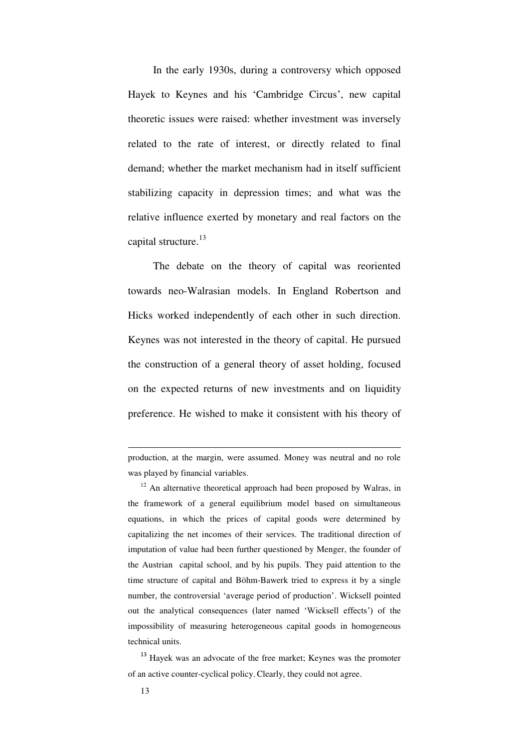In the early 1930s, during a controversy which opposed Hayek to Keynes and his 'Cambridge Circus', new capital theoretic issues were raised: whether investment was inversely related to the rate of interest, or directly related to final demand; whether the market mechanism had in itself sufficient stabilizing capacity in depression times; and what was the relative influence exerted by monetary and real factors on the capital structure.<sup>13</sup>

The debate on the theory of capital was reoriented towards neo-Walrasian models. In England Robertson and Hicks worked independently of each other in such direction. Keynes was not interested in the theory of capital. He pursued the construction of a general theory of asset holding, focused on the expected returns of new investments and on liquidity preference. He wished to make it consistent with his theory of

production, at the margin, were assumed. Money was neutral and no role was played by financial variables.

 $12$  An alternative theoretical approach had been proposed by Walras, in the framework of a general equilibrium model based on simultaneous equations, in which the prices of capital goods were determined by capitalizing the net incomes of their services. The traditional direction of imputation of value had been further questioned by Menger, the founder of the Austrian capital school, and by his pupils. They paid attention to the time structure of capital and Böhm-Bawerk tried to express it by a single number, the controversial 'average period of production'. Wicksell pointed out the analytical consequences (later named 'Wicksell effects') of the impossibility of measuring heterogeneous capital goods in homogeneous technical units.

<sup>&</sup>lt;sup>13</sup> Hayek was an advocate of the free market; Keynes was the promoter of an active counter-cyclical policy. Clearly, they could not agree.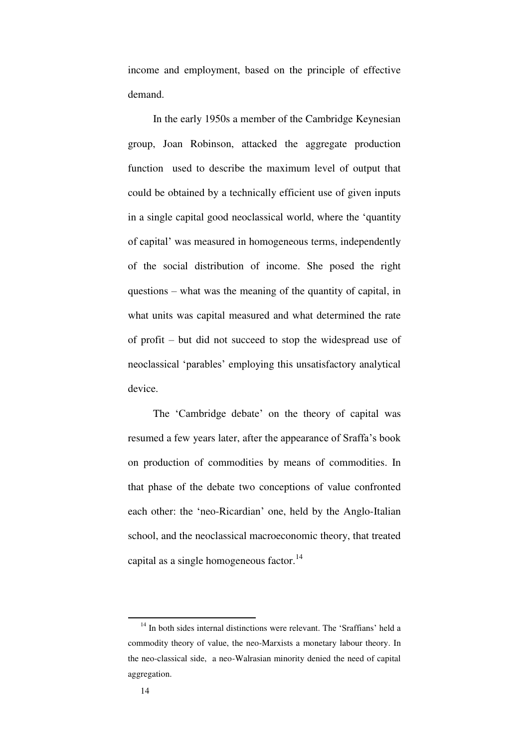income and employment, based on the principle of effective demand.

In the early 1950s a member of the Cambridge Keynesian group, Joan Robinson, attacked the aggregate production function used to describe the maximum level of output that could be obtained by a technically efficient use of given inputs in a single capital good neoclassical world, where the 'quantity of capital' was measured in homogeneous terms, independently of the social distribution of income. She posed the right questions – what was the meaning of the quantity of capital, in what units was capital measured and what determined the rate of profit – but did not succeed to stop the widespread use of neoclassical 'parables' employing this unsatisfactory analytical device.

The 'Cambridge debate' on the theory of capital was resumed a few years later, after the appearance of Sraffa's book on production of commodities by means of commodities. In that phase of the debate two conceptions of value confronted each other: the 'neo-Ricardian' one, held by the Anglo-Italian school, and the neoclassical macroeconomic theory, that treated capital as a single homogeneous factor.<sup>14</sup>

<sup>&</sup>lt;sup>14</sup> In both sides internal distinctions were relevant. The 'Sraffians' held a commodity theory of value, the neo-Marxists a monetary labour theory. In the neo-classical side, a neo-Walrasian minority denied the need of capital aggregation.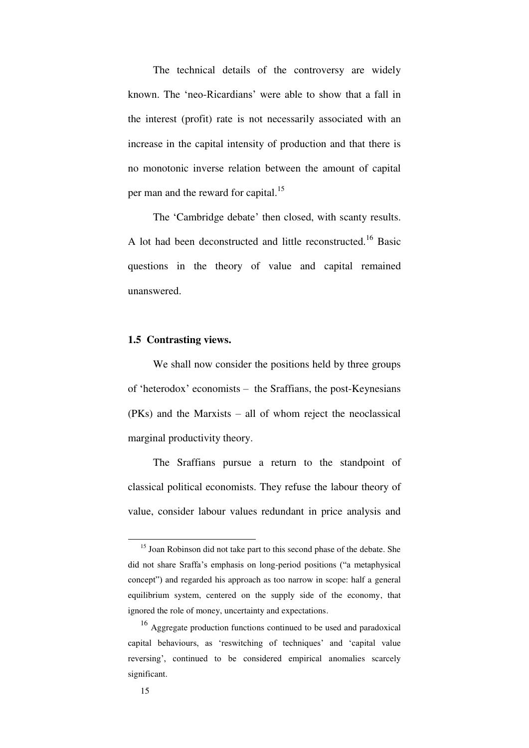The technical details of the controversy are widely known. The 'neo-Ricardians' were able to show that a fall in the interest (profit) rate is not necessarily associated with an increase in the capital intensity of production and that there is no monotonic inverse relation between the amount of capital per man and the reward for capital.<sup>15</sup>

The 'Cambridge debate' then closed, with scanty results. A lot had been deconstructed and little reconstructed.<sup>16</sup> Basic questions in the theory of value and capital remained unanswered.

## **1.5 Contrasting views.**

We shall now consider the positions held by three groups of 'heterodox' economists – the Sraffians, the post-Keynesians (PKs) and the Marxists – all of whom reject the neoclassical marginal productivity theory.

The Sraffians pursue a return to the standpoint of classical political economists. They refuse the labour theory of value, consider labour values redundant in price analysis and

<sup>&</sup>lt;sup>15</sup> Joan Robinson did not take part to this second phase of the debate. She did not share Sraffa's emphasis on long-period positions ("a metaphysical concept") and regarded his approach as too narrow in scope: half a general equilibrium system, centered on the supply side of the economy, that ignored the role of money, uncertainty and expectations.

<sup>&</sup>lt;sup>16</sup> Aggregate production functions continued to be used and paradoxical capital behaviours, as 'reswitching of techniques' and 'capital value reversing', continued to be considered empirical anomalies scarcely significant.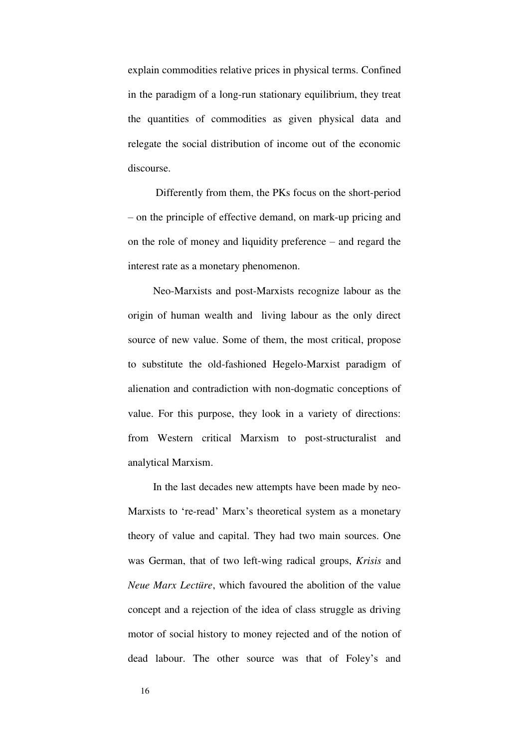explain commodities relative prices in physical terms. Confined in the paradigm of a long-run stationary equilibrium, they treat the quantities of commodities as given physical data and relegate the social distribution of income out of the economic discourse.

 Differently from them, the PKs focus on the short-period – on the principle of effective demand, on mark-up pricing and on the role of money and liquidity preference – and regard the interest rate as a monetary phenomenon.

Neo-Marxists and post-Marxists recognize labour as the origin of human wealth and living labour as the only direct source of new value. Some of them, the most critical, propose to substitute the old-fashioned Hegelo-Marxist paradigm of alienation and contradiction with non-dogmatic conceptions of value. For this purpose, they look in a variety of directions: from Western critical Marxism to post-structuralist and analytical Marxism.

In the last decades new attempts have been made by neo-Marxists to 're-read' Marx's theoretical system as a monetary theory of value and capital. They had two main sources. One was German, that of two left-wing radical groups, *Krisis* and *Neue Marx Lectüre*, which favoured the abolition of the value concept and a rejection of the idea of class struggle as driving motor of social history to money rejected and of the notion of dead labour. The other source was that of Foley's and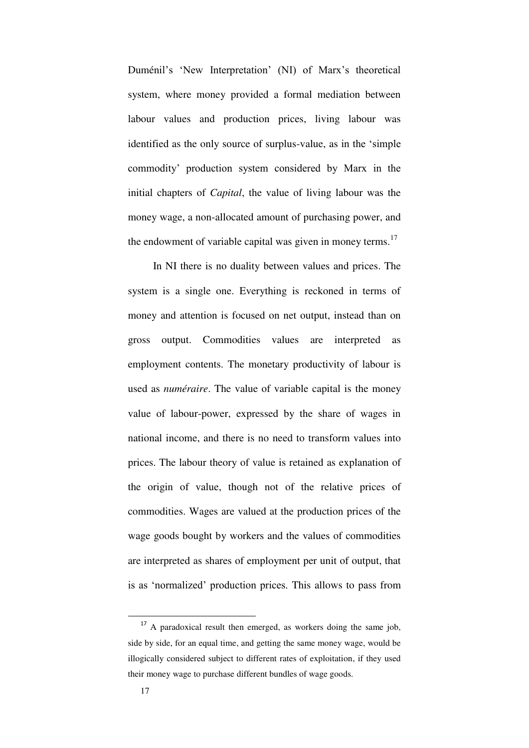Duménil's 'New Interpretation' (NI) of Marx's theoretical system, where money provided a formal mediation between labour values and production prices, living labour was identified as the only source of surplus-value, as in the 'simple commodity' production system considered by Marx in the initial chapters of *Capital*, the value of living labour was the money wage, a non-allocated amount of purchasing power, and the endowment of variable capital was given in money terms.<sup>17</sup>

In NI there is no duality between values and prices. The system is a single one. Everything is reckoned in terms of money and attention is focused on net output, instead than on gross output. Commodities values are interpreted as employment contents. The monetary productivity of labour is used as *numéraire*. The value of variable capital is the money value of labour-power, expressed by the share of wages in national income, and there is no need to transform values into prices. The labour theory of value is retained as explanation of the origin of value, though not of the relative prices of commodities. Wages are valued at the production prices of the wage goods bought by workers and the values of commodities are interpreted as shares of employment per unit of output, that is as 'normalized' production prices. This allows to pass from

 $17$  A paradoxical result then emerged, as workers doing the same job, side by side, for an equal time, and getting the same money wage, would be illogically considered subject to different rates of exploitation, if they used their money wage to purchase different bundles of wage goods.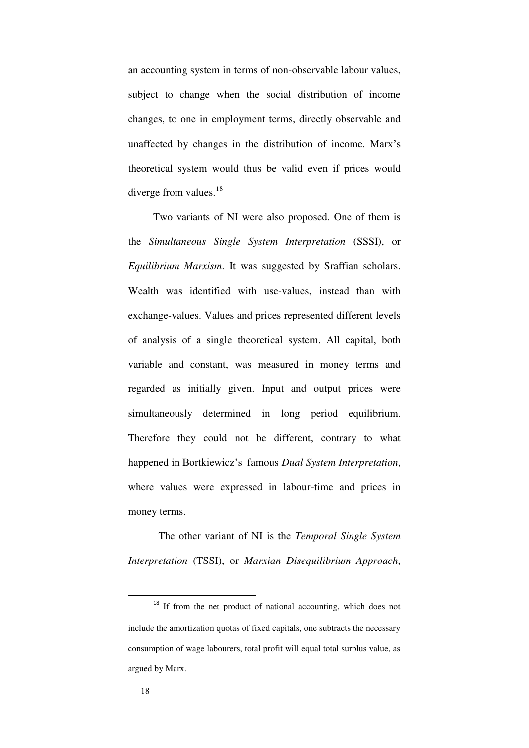an accounting system in terms of non-observable labour values, subject to change when the social distribution of income changes, to one in employment terms, directly observable and unaffected by changes in the distribution of income. Marx's theoretical system would thus be valid even if prices would diverge from values.<sup>18</sup>

Two variants of NI were also proposed. One of them is the *Simultaneous Single System Interpretation* (SSSI), or *Equilibrium Marxism*. It was suggested by Sraffian scholars. Wealth was identified with use-values, instead than with exchange-values. Values and prices represented different levels of analysis of a single theoretical system. All capital, both variable and constant, was measured in money terms and regarded as initially given. Input and output prices were simultaneously determined in long period equilibrium. Therefore they could not be different, contrary to what happened in Bortkiewicz's famous *Dual System Interpretation*, where values were expressed in labour-time and prices in money terms.

 The other variant of NI is the *Temporal Single System Interpretation* (TSSI), or *Marxian Disequilibrium Approach*,

<sup>&</sup>lt;sup>18</sup> If from the net product of national accounting, which does not include the amortization quotas of fixed capitals, one subtracts the necessary consumption of wage labourers, total profit will equal total surplus value, as argued by Marx.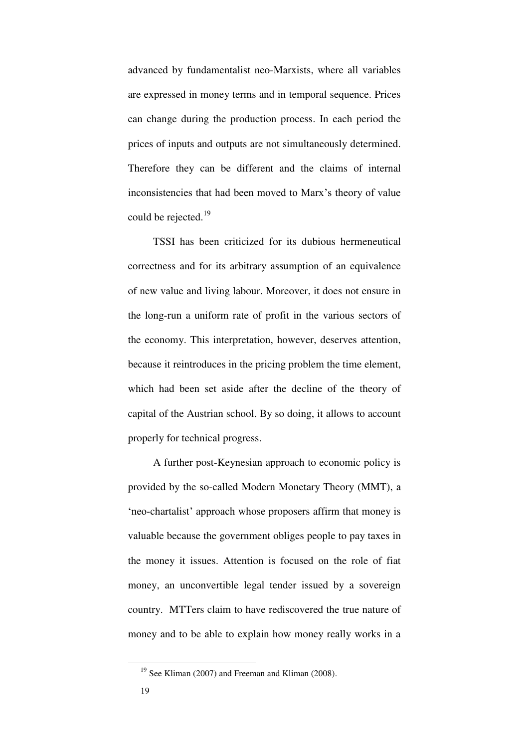advanced by fundamentalist neo-Marxists, where all variables are expressed in money terms and in temporal sequence. Prices can change during the production process. In each period the prices of inputs and outputs are not simultaneously determined. Therefore they can be different and the claims of internal inconsistencies that had been moved to Marx's theory of value could be rejected.<sup>19</sup>

TSSI has been criticized for its dubious hermeneutical correctness and for its arbitrary assumption of an equivalence of new value and living labour. Moreover, it does not ensure in the long-run a uniform rate of profit in the various sectors of the economy. This interpretation, however, deserves attention, because it reintroduces in the pricing problem the time element, which had been set aside after the decline of the theory of capital of the Austrian school. By so doing, it allows to account properly for technical progress.

A further post-Keynesian approach to economic policy is provided by the so-called Modern Monetary Theory (MMT), a 'neo-chartalist' approach whose proposers affirm that money is valuable because the government obliges people to pay taxes in the money it issues. Attention is focused on the role of fiat money, an unconvertible legal tender issued by a sovereign country. MTTers claim to have rediscovered the true nature of money and to be able to explain how money really works in a

<sup>&</sup>lt;sup>19</sup> See Kliman (2007) and Freeman and Kliman (2008).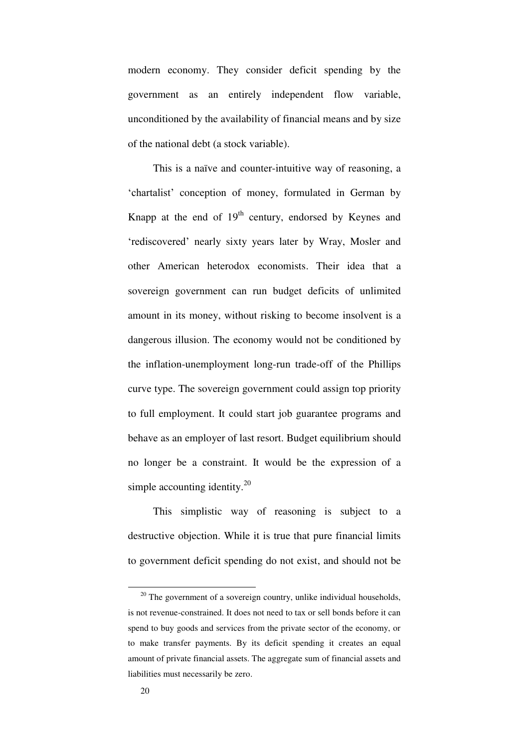modern economy. They consider deficit spending by the government as an entirely independent flow variable, unconditioned by the availability of financial means and by size of the national debt (a stock variable).

This is a naïve and counter-intuitive way of reasoning, a 'chartalist' conception of money, formulated in German by Knapp at the end of  $19<sup>th</sup>$  century, endorsed by Keynes and 'rediscovered' nearly sixty years later by Wray, Mosler and other American heterodox economists. Their idea that a sovereign government can run budget deficits of unlimited amount in its money, without risking to become insolvent is a dangerous illusion. The economy would not be conditioned by the inflation-unemployment long-run trade-off of the Phillips curve type. The sovereign government could assign top priority to full employment. It could start job guarantee programs and behave as an employer of last resort. Budget equilibrium should no longer be a constraint. It would be the expression of a simple accounting identity. $20$ 

This simplistic way of reasoning is subject to a destructive objection. While it is true that pure financial limits to government deficit spending do not exist, and should not be

 $20$  The government of a sovereign country, unlike individual households, is not revenue-constrained. It does not need to tax or sell bonds before it can spend to buy goods and services from the private sector of the economy, or to make transfer payments. By its deficit spending it creates an equal amount of private financial assets. The aggregate sum of financial assets and liabilities must necessarily be zero.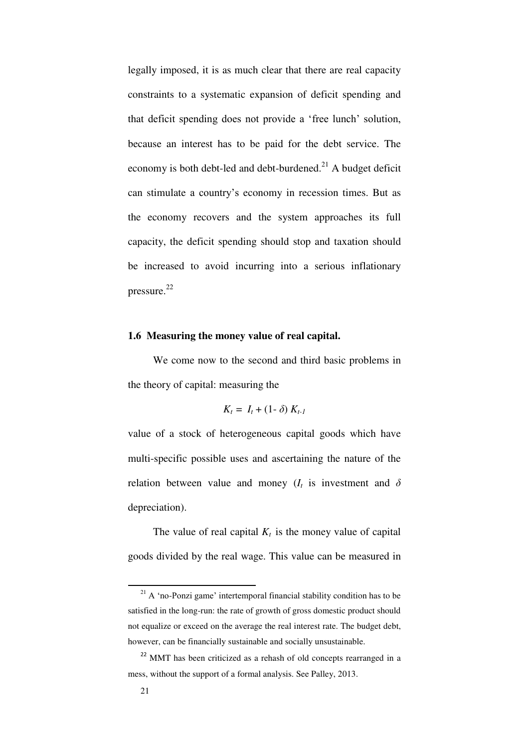legally imposed, it is as much clear that there are real capacity constraints to a systematic expansion of deficit spending and that deficit spending does not provide a 'free lunch' solution, because an interest has to be paid for the debt service. The economy is both debt-led and debt-burdened.<sup>21</sup> A budget deficit can stimulate a country's economy in recession times. But as the economy recovers and the system approaches its full capacity, the deficit spending should stop and taxation should be increased to avoid incurring into a serious inflationary pressure.<sup>22</sup>

## **1.6 Measuring the money value of real capital.**

We come now to the second and third basic problems in the theory of capital: measuring the

$$
K_t = I_t + (1-\delta) K_{t-1}
$$

value of a stock of heterogeneous capital goods which have multi-specific possible uses and ascertaining the nature of the relation between value and money  $(I_t$  is investment and  $\delta$ depreciation).

The value of real capital  $K_t$  is the money value of capital goods divided by the real wage. This value can be measured in

 $21$  A 'no-Ponzi game' intertemporal financial stability condition has to be satisfied in the long-run: the rate of growth of gross domestic product should not equalize or exceed on the average the real interest rate. The budget debt, however, can be financially sustainable and socially unsustainable.

<sup>&</sup>lt;sup>22</sup> MMT has been criticized as a rehash of old concepts rearranged in a mess, without the support of a formal analysis. See Palley, 2013.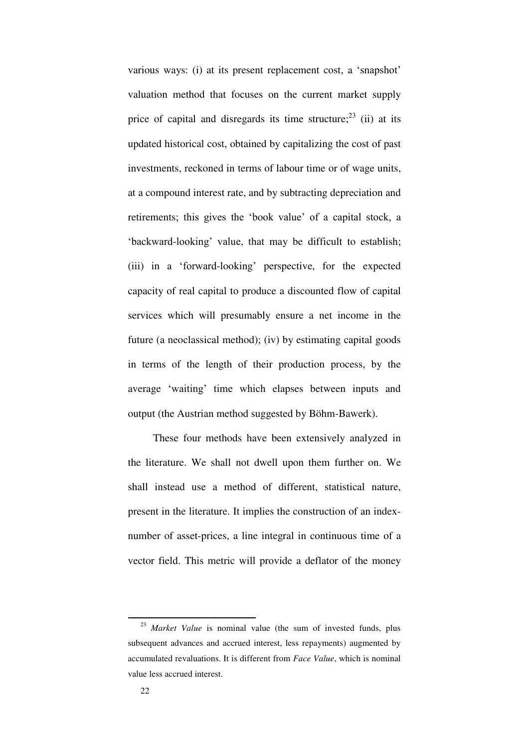various ways: (i) at its present replacement cost, a 'snapshot' valuation method that focuses on the current market supply price of capital and disregards its time structure; $^{23}$  (ii) at its updated historical cost, obtained by capitalizing the cost of past investments, reckoned in terms of labour time or of wage units, at a compound interest rate, and by subtracting depreciation and retirements; this gives the 'book value' of a capital stock, a 'backward-looking' value, that may be difficult to establish; (iii) in a 'forward-looking' perspective, for the expected capacity of real capital to produce a discounted flow of capital services which will presumably ensure a net income in the future (a neoclassical method); (iv) by estimating capital goods in terms of the length of their production process, by the average 'waiting' time which elapses between inputs and output (the Austrian method suggested by Böhm-Bawerk).

These four methods have been extensively analyzed in the literature. We shall not dwell upon them further on. We shall instead use a method of different, statistical nature, present in the literature. It implies the construction of an indexnumber of asset-prices, a line integral in continuous time of a vector field. This metric will provide a deflator of the money

<sup>23</sup> *Market Value* is nominal value (the sum of invested funds, plus subsequent advances and accrued interest, less repayments) augmented by accumulated revaluations. It is different from *Face Value*, which is nominal value less accrued interest.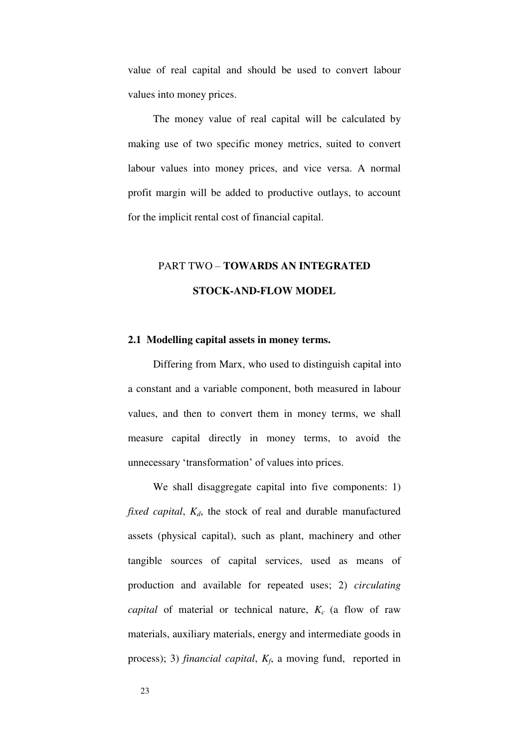value of real capital and should be used to convert labour values into money prices.

The money value of real capital will be calculated by making use of two specific money metrics, suited to convert labour values into money prices, and vice versa. A normal profit margin will be added to productive outlays, to account for the implicit rental cost of financial capital.

## PART TWO – **TOWARDS AN INTEGRATED STOCK-AND-FLOW MODEL**

### **2.1 Modelling capital assets in money terms.**

Differing from Marx, who used to distinguish capital into a constant and a variable component, both measured in labour values, and then to convert them in money terms, we shall measure capital directly in money terms, to avoid the unnecessary 'transformation' of values into prices.

We shall disaggregate capital into five components: 1) *fixed capital*, *Kd*, the stock of real and durable manufactured assets (physical capital), such as plant, machinery and other tangible sources of capital services, used as means of production and available for repeated uses; 2) *circulating capital* of material or technical nature, *Kc* (a flow of raw materials, auxiliary materials, energy and intermediate goods in process); 3) *financial capital*, *K<sup>f</sup>* , a moving fund, reported in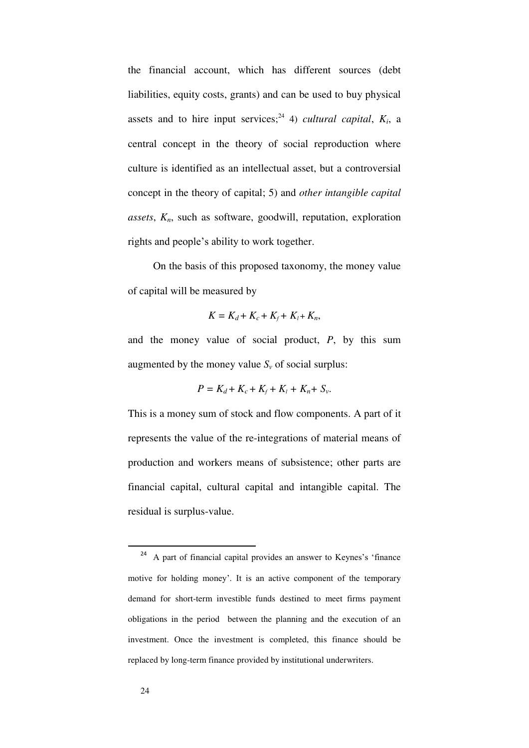the financial account, which has different sources (debt liabilities, equity costs, grants) and can be used to buy physical assets and to hire input services;<sup>24</sup> 4) *cultural capital*,  $K_i$ , a central concept in the theory of social reproduction where culture is identified as an intellectual asset, but a controversial concept in the theory of capital; 5) and *other intangible capital assets*, *Kn*, such as software, goodwill, reputation, exploration rights and people's ability to work together.

On the basis of this proposed taxonomy, the money value of capital will be measured by

$$
K=K_d+K_c+K_f+K_l+K_n,
$$

and the money value of social product, *P*, by this sum augmented by the money value  $S_\nu$  of social surplus:

$$
P=K_d+K_c+K_f+K_l+K_n+S_\nu.
$$

This is a money sum of stock and flow components. A part of it represents the value of the re-integrations of material means of production and workers means of subsistence; other parts are financial capital, cultural capital and intangible capital. The residual is surplus-value.

<sup>&</sup>lt;sup>24</sup> A part of financial capital provides an answer to Keynes's 'finance motive for holding money'. It is an active component of the temporary demand for short-term investible funds destined to meet firms payment obligations in the period between the planning and the execution of an investment. Once the investment is completed, this finance should be replaced by long-term finance provided by institutional underwriters.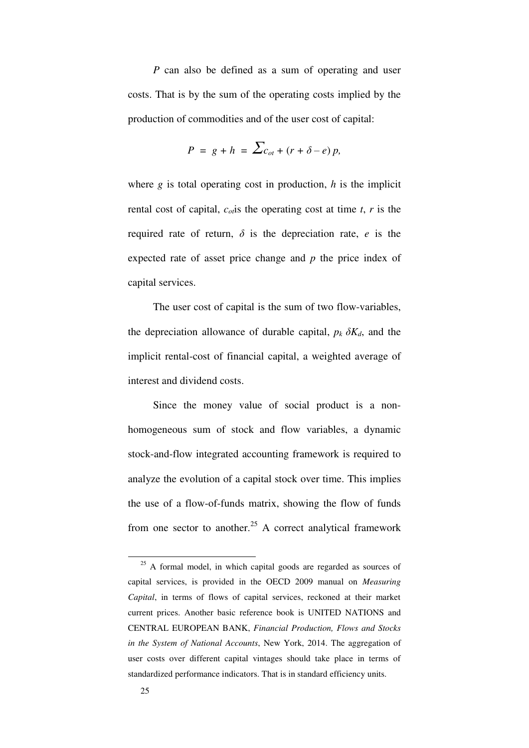*P* can also be defined as a sum of operating and user costs. That is by the sum of the operating costs implied by the production of commodities and of the user cost of capital:

$$
P = g + h = \sum_{cot} (r + \delta - e)p,
$$

where *g* is total operating cost in production, *h* is the implicit rental cost of capital,  $c_{of}$  is the operating cost at time *t*, *r* is the required rate of return,  $\delta$  is the depreciation rate, *e* is the expected rate of asset price change and *p* the price index of capital services.

The user cost of capital is the sum of two flow-variables, the depreciation allowance of durable capital,  $p_k \, \delta K_d$ , and the implicit rental-cost of financial capital, a weighted average of interest and dividend costs.

Since the money value of social product is a nonhomogeneous sum of stock and flow variables, a dynamic stock-and-flow integrated accounting framework is required to analyze the evolution of a capital stock over time. This implies the use of a flow-of-funds matrix, showing the flow of funds from one sector to another.<sup>25</sup> A correct analytical framework

<sup>&</sup>lt;sup>25</sup> A formal model, in which capital goods are regarded as sources of capital services, is provided in the OECD 2009 manual on *Measuring Capital*, in terms of flows of capital services, reckoned at their market current prices. Another basic reference book is UNITED NATIONS and CENTRAL EUROPEAN BANK, *Financial Production, Flows and Stocks in the System of National Accounts*, New York, 2014. The aggregation of user costs over different capital vintages should take place in terms of standardized performance indicators. That is in standard efficiency units.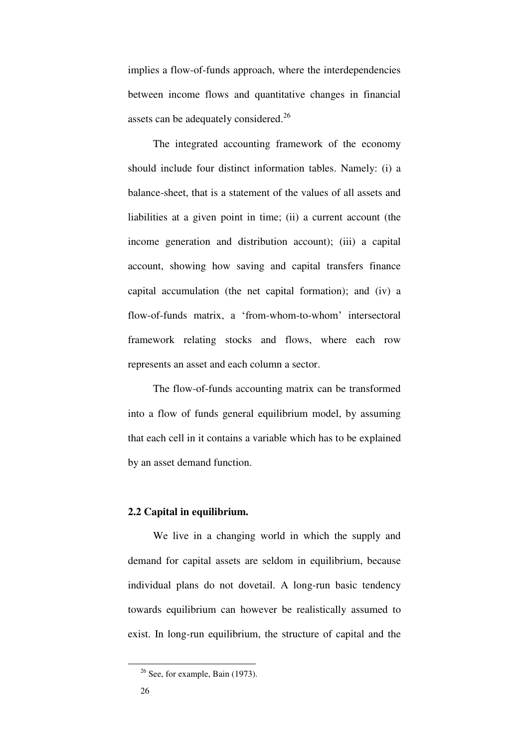implies a flow-of-funds approach, where the interdependencies between income flows and quantitative changes in financial assets can be adequately considered.<sup>26</sup>

The integrated accounting framework of the economy should include four distinct information tables. Namely: (i) a balance-sheet, that is a statement of the values of all assets and liabilities at a given point in time; (ii) a current account (the income generation and distribution account); (iii) a capital account, showing how saving and capital transfers finance capital accumulation (the net capital formation); and (iv) a flow-of-funds matrix, a 'from-whom-to-whom' intersectoral framework relating stocks and flows, where each row represents an asset and each column a sector.

The flow-of-funds accounting matrix can be transformed into a flow of funds general equilibrium model, by assuming that each cell in it contains a variable which has to be explained by an asset demand function.

## **2.2 Capital in equilibrium.**

We live in a changing world in which the supply and demand for capital assets are seldom in equilibrium, because individual plans do not dovetail. A long-run basic tendency towards equilibrium can however be realistically assumed to exist. In long-run equilibrium, the structure of capital and the

<sup>&</sup>lt;sup>26</sup> See, for example, Bain (1973).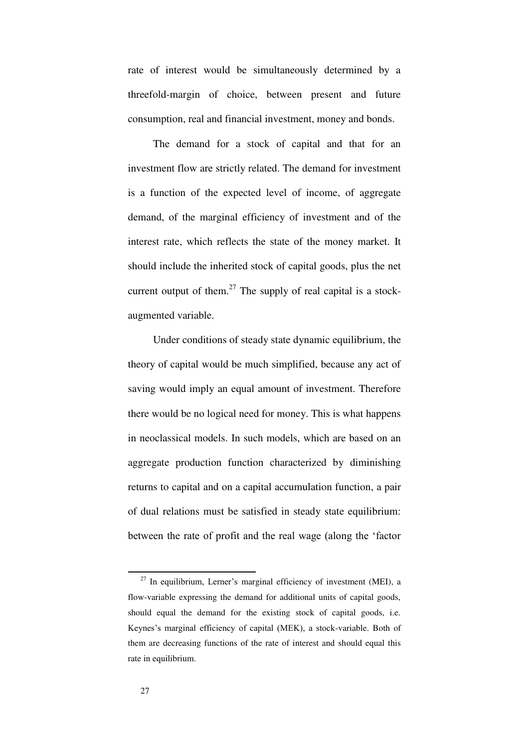rate of interest would be simultaneously determined by a threefold-margin of choice, between present and future consumption, real and financial investment, money and bonds.

The demand for a stock of capital and that for an investment flow are strictly related. The demand for investment is a function of the expected level of income, of aggregate demand, of the marginal efficiency of investment and of the interest rate, which reflects the state of the money market. It should include the inherited stock of capital goods, plus the net current output of them. $27$  The supply of real capital is a stockaugmented variable.

Under conditions of steady state dynamic equilibrium, the theory of capital would be much simplified, because any act of saving would imply an equal amount of investment. Therefore there would be no logical need for money. This is what happens in neoclassical models. In such models, which are based on an aggregate production function characterized by diminishing returns to capital and on a capital accumulation function, a pair of dual relations must be satisfied in steady state equilibrium: between the rate of profit and the real wage (along the 'factor

 $27$  In equilibrium, Lerner's marginal efficiency of investment (MEI), a flow-variable expressing the demand for additional units of capital goods, should equal the demand for the existing stock of capital goods, i.e. Keynes's marginal efficiency of capital (MEK), a stock-variable. Both of them are decreasing functions of the rate of interest and should equal this rate in equilibrium.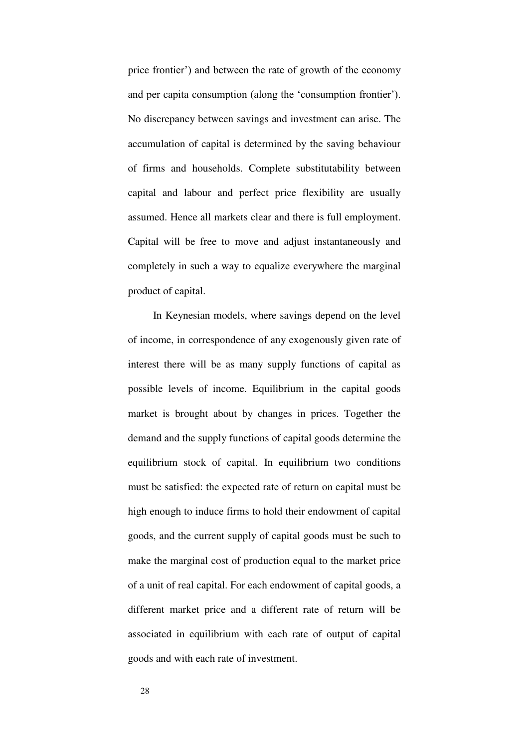price frontier') and between the rate of growth of the economy and per capita consumption (along the 'consumption frontier'). No discrepancy between savings and investment can arise. The accumulation of capital is determined by the saving behaviour of firms and households. Complete substitutability between capital and labour and perfect price flexibility are usually assumed. Hence all markets clear and there is full employment. Capital will be free to move and adjust instantaneously and completely in such a way to equalize everywhere the marginal product of capital.

In Keynesian models, where savings depend on the level of income, in correspondence of any exogenously given rate of interest there will be as many supply functions of capital as possible levels of income. Equilibrium in the capital goods market is brought about by changes in prices. Together the demand and the supply functions of capital goods determine the equilibrium stock of capital. In equilibrium two conditions must be satisfied: the expected rate of return on capital must be high enough to induce firms to hold their endowment of capital goods, and the current supply of capital goods must be such to make the marginal cost of production equal to the market price of a unit of real capital. For each endowment of capital goods, a different market price and a different rate of return will be associated in equilibrium with each rate of output of capital goods and with each rate of investment.

28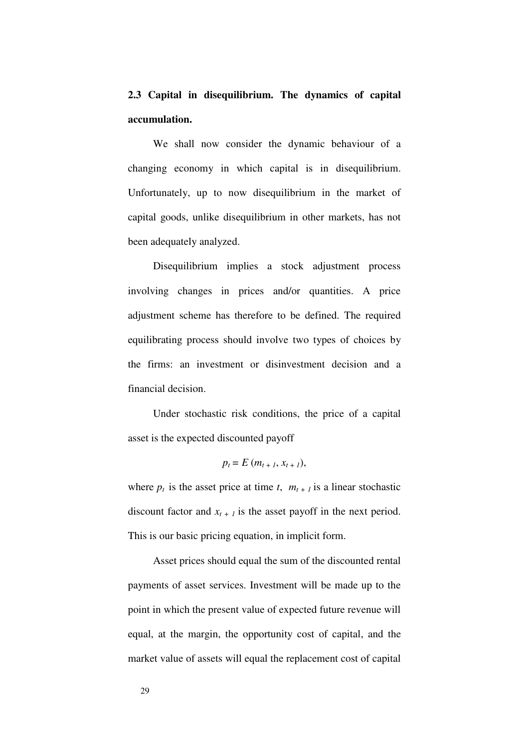**2.3 Capital in disequilibrium. The dynamics of capital accumulation.** 

We shall now consider the dynamic behaviour of a changing economy in which capital is in disequilibrium. Unfortunately, up to now disequilibrium in the market of capital goods, unlike disequilibrium in other markets, has not been adequately analyzed.

Disequilibrium implies a stock adjustment process involving changes in prices and/or quantities. A price adjustment scheme has therefore to be defined. The required equilibrating process should involve two types of choices by the firms: an investment or disinvestment decision and a financial decision.

Under stochastic risk conditions, the price of a capital asset is the expected discounted payoff

$$
p_t = E(m_{t+1}, x_{t+1}),
$$

where  $p_t$  is the asset price at time *t*,  $m_{t+1}$  is a linear stochastic discount factor and  $x_{t+1}$  is the asset payoff in the next period. This is our basic pricing equation, in implicit form.

Asset prices should equal the sum of the discounted rental payments of asset services. Investment will be made up to the point in which the present value of expected future revenue will equal, at the margin, the opportunity cost of capital, and the market value of assets will equal the replacement cost of capital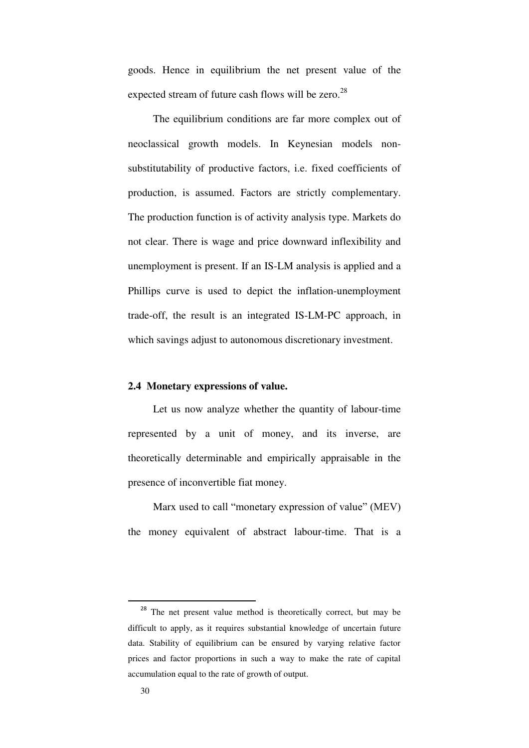goods. Hence in equilibrium the net present value of the expected stream of future cash flows will be zero.<sup>28</sup>

The equilibrium conditions are far more complex out of neoclassical growth models. In Keynesian models nonsubstitutability of productive factors, i.e. fixed coefficients of production, is assumed. Factors are strictly complementary. The production function is of activity analysis type. Markets do not clear. There is wage and price downward inflexibility and unemployment is present. If an IS-LM analysis is applied and a Phillips curve is used to depict the inflation-unemployment trade-off, the result is an integrated IS-LM-PC approach, in which savings adjust to autonomous discretionary investment.

## **2.4 Monetary expressions of value.**

Let us now analyze whether the quantity of labour-time represented by a unit of money, and its inverse, are theoretically determinable and empirically appraisable in the presence of inconvertible fiat money.

Marx used to call "monetary expression of value" (MEV) the money equivalent of abstract labour-time. That is a

<sup>&</sup>lt;sup>28</sup> The net present value method is theoretically correct, but may be difficult to apply, as it requires substantial knowledge of uncertain future data. Stability of equilibrium can be ensured by varying relative factor prices and factor proportions in such a way to make the rate of capital accumulation equal to the rate of growth of output.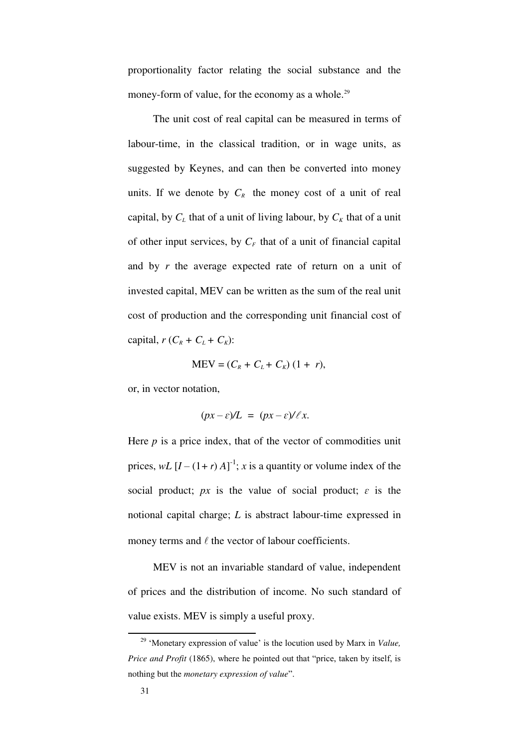proportionality factor relating the social substance and the money-form of value, for the economy as a whole.<sup>29</sup>

The unit cost of real capital can be measured in terms of labour-time, in the classical tradition, or in wage units, as suggested by Keynes, and can then be converted into money units. If we denote by  $C_R$  the money cost of a unit of real capital, by  $C_L$  that of a unit of living labour, by  $C_K$  that of a unit of other input services, by  $C_F$  that of a unit of financial capital and by *r* the average expected rate of return on a unit of invested capital, MEV can be written as the sum of the real unit cost of production and the corresponding unit financial cost of capital,  $r$  ( $C_R$  +  $C_L$  +  $C_K$ ):

$$
MEV = (C_R + C_L + C_K) (1 + r),
$$

or, in vector notation,

$$
(px - \varepsilon)/L = (px - \varepsilon)/\ell x.
$$

Here  $p$  is a price index, that of the vector of commodities unit prices,  $wL$   $[I - (1+r)A]^{-1}$ ; *x* is a quantity or volume index of the social product;  $px$  is the value of social product;  $\varepsilon$  is the notional capital charge; *L* is abstract labour-time expressed in money terms and  $\ell$  the vector of labour coefficients.

MEV is not an invariable standard of value, independent of prices and the distribution of income. No such standard of value exists. MEV is simply a useful proxy.

<sup>29</sup> 'Monetary expression of value' is the locution used by Marx in *Value, Price and Profit* (1865), where he pointed out that "price, taken by itself, is nothing but the *monetary expression of value*".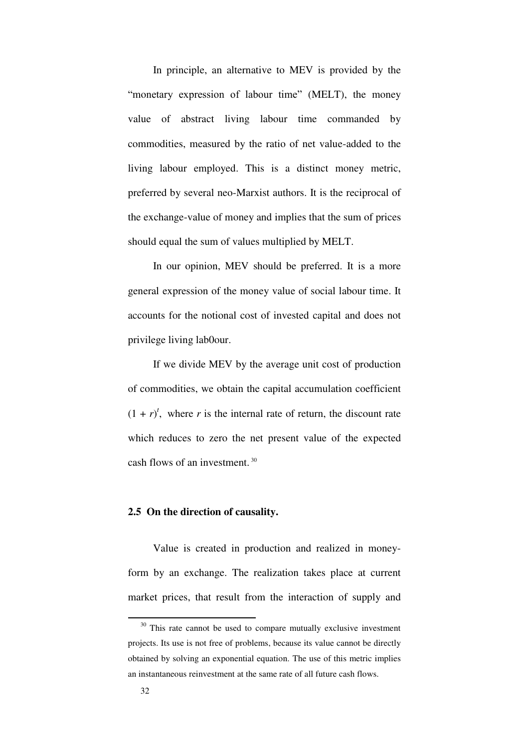In principle, an alternative to MEV is provided by the "monetary expression of labour time" (MELT), the money value of abstract living labour time commanded by commodities, measured by the ratio of net value-added to the living labour employed. This is a distinct money metric, preferred by several neo-Marxist authors. It is the reciprocal of the exchange-value of money and implies that the sum of prices should equal the sum of values multiplied by MELT.

In our opinion, MEV should be preferred. It is a more general expression of the money value of social labour time. It accounts for the notional cost of invested capital and does not privilege living lab0our.

If we divide MEV by the average unit cost of production of commodities, we obtain the capital accumulation coefficient  $(1 + r)^t$ , where *r* is the internal rate of return, the discount rate which reduces to zero the net present value of the expected cash flows of an investment.<sup>30</sup>

#### **2.5 On the direction of causality.**

Value is created in production and realized in moneyform by an exchange. The realization takes place at current market prices, that result from the interaction of supply and

 $30$  This rate cannot be used to compare mutually exclusive investment projects. Its use is not free of problems, because its value cannot be directly obtained by solving an exponential equation. The use of this metric implies an instantaneous reinvestment at the same rate of all future cash flows.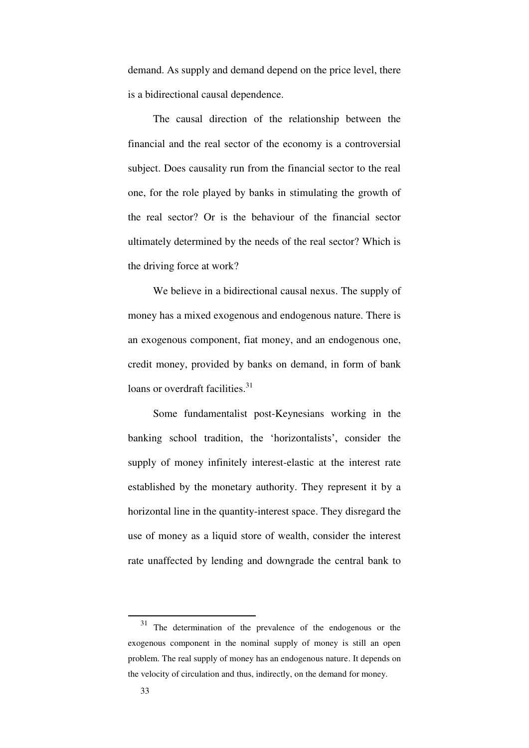demand. As supply and demand depend on the price level, there is a bidirectional causal dependence.

The causal direction of the relationship between the financial and the real sector of the economy is a controversial subject. Does causality run from the financial sector to the real one, for the role played by banks in stimulating the growth of the real sector? Or is the behaviour of the financial sector ultimately determined by the needs of the real sector? Which is the driving force at work?

We believe in a bidirectional causal nexus. The supply of money has a mixed exogenous and endogenous nature. There is an exogenous component, fiat money, and an endogenous one, credit money, provided by banks on demand, in form of bank loans or overdraft facilities. $31$ 

Some fundamentalist post-Keynesians working in the banking school tradition, the 'horizontalists', consider the supply of money infinitely interest-elastic at the interest rate established by the monetary authority. They represent it by a horizontal line in the quantity-interest space. They disregard the use of money as a liquid store of wealth, consider the interest rate unaffected by lending and downgrade the central bank to

<sup>&</sup>lt;sup>31</sup> The determination of the prevalence of the endogenous or the exogenous component in the nominal supply of money is still an open problem. The real supply of money has an endogenous nature. It depends on the velocity of circulation and thus, indirectly, on the demand for money.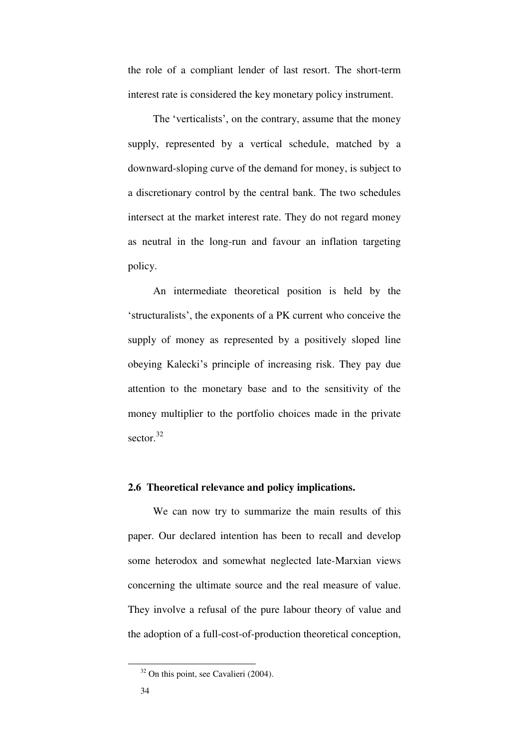the role of a compliant lender of last resort. The short-term interest rate is considered the key monetary policy instrument.

The 'verticalists', on the contrary, assume that the money supply, represented by a vertical schedule, matched by a downward-sloping curve of the demand for money, is subject to a discretionary control by the central bank. The two schedules intersect at the market interest rate. They do not regard money as neutral in the long-run and favour an inflation targeting policy.

An intermediate theoretical position is held by the 'structuralists', the exponents of a PK current who conceive the supply of money as represented by a positively sloped line obeying Kalecki's principle of increasing risk. They pay due attention to the monetary base and to the sensitivity of the money multiplier to the portfolio choices made in the private sector.<sup>32</sup>

### **2.6 Theoretical relevance and policy implications.**

We can now try to summarize the main results of this paper. Our declared intention has been to recall and develop some heterodox and somewhat neglected late-Marxian views concerning the ultimate source and the real measure of value. They involve a refusal of the pure labour theory of value and the adoption of a full-cost-of-production theoretical conception,

 $32$  On this point, see Cavalieri (2004).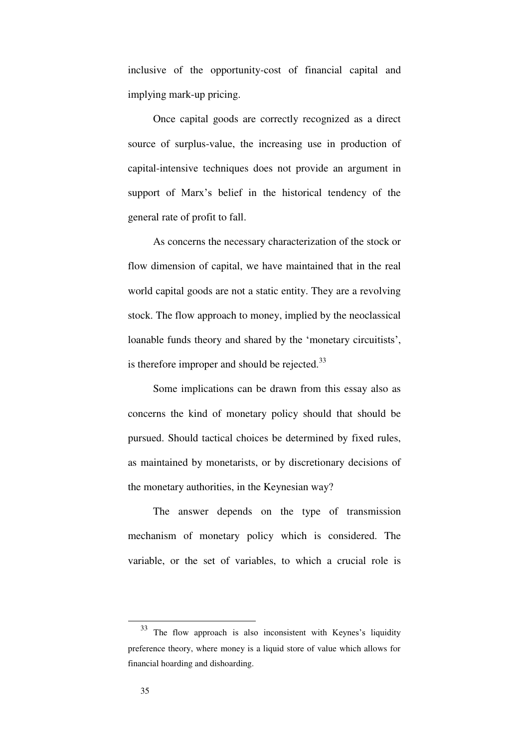inclusive of the opportunity-cost of financial capital and implying mark-up pricing.

Once capital goods are correctly recognized as a direct source of surplus-value, the increasing use in production of capital-intensive techniques does not provide an argument in support of Marx's belief in the historical tendency of the general rate of profit to fall.

As concerns the necessary characterization of the stock or flow dimension of capital, we have maintained that in the real world capital goods are not a static entity. They are a revolving stock. The flow approach to money, implied by the neoclassical loanable funds theory and shared by the 'monetary circuitists', is therefore improper and should be rejected. $33$ 

Some implications can be drawn from this essay also as concerns the kind of monetary policy should that should be pursued. Should tactical choices be determined by fixed rules, as maintained by monetarists, or by discretionary decisions of the monetary authorities, in the Keynesian way?

The answer depends on the type of transmission mechanism of monetary policy which is considered. The variable, or the set of variables, to which a crucial role is

<sup>33</sup> The flow approach is also inconsistent with Keynes's liquidity preference theory, where money is a liquid store of value which allows for financial hoarding and dishoarding.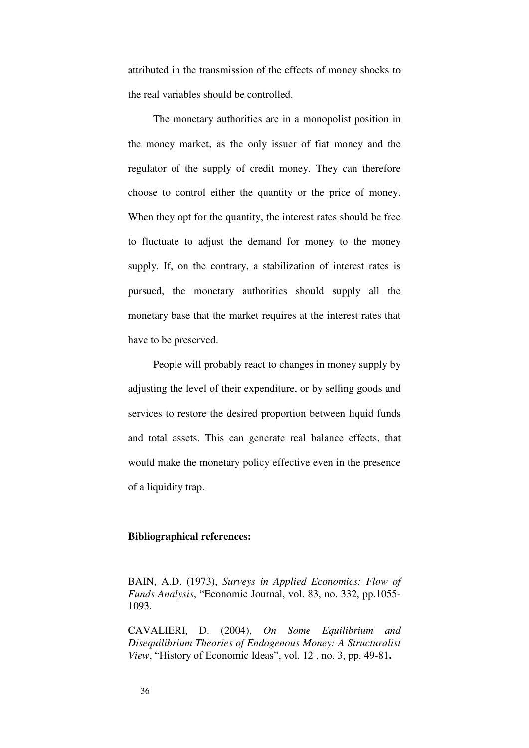attributed in the transmission of the effects of money shocks to the real variables should be controlled.

The monetary authorities are in a monopolist position in the money market, as the only issuer of fiat money and the regulator of the supply of credit money. They can therefore choose to control either the quantity or the price of money. When they opt for the quantity, the interest rates should be free to fluctuate to adjust the demand for money to the money supply. If, on the contrary, a stabilization of interest rates is pursued, the monetary authorities should supply all the monetary base that the market requires at the interest rates that have to be preserved.

People will probably react to changes in money supply by adjusting the level of their expenditure, or by selling goods and services to restore the desired proportion between liquid funds and total assets. This can generate real balance effects, that would make the monetary policy effective even in the presence of a liquidity trap.

### **Bibliographical references:**

BAIN, A.D. (1973), *Surveys in Applied Economics: Flow of Funds Analysis*, "Economic Journal, vol. 83, no. 332, pp.1055- 1093.

CAVALIERI, D. (2004), *On Some Equilibrium and Disequilibrium Theories of Endogenous Money: A Structuralist View*, "History of Economic Ideas", vol. 12 , no. 3, pp. 49-81**.**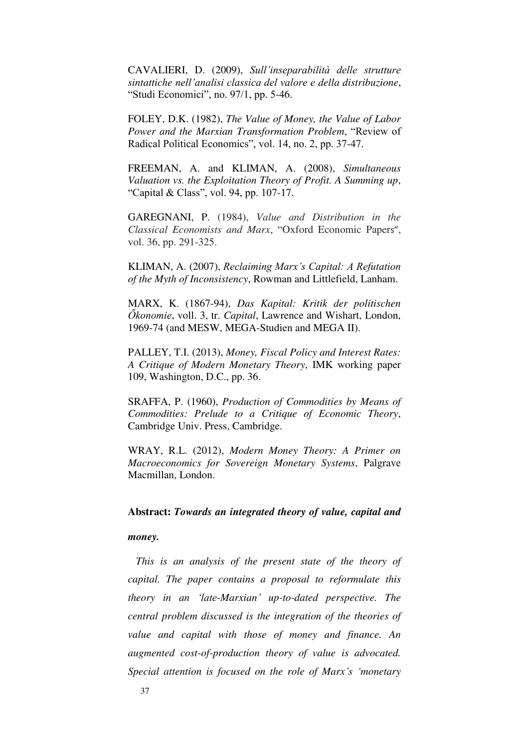CAVALIERI, D. (2009), *Sull'inseparabilità delle strutture sintattiche nell'analisi classica del valore e della distribuzione*, "Studi Economici", no. 97/1, pp. 5-46.

FOLEY, D.K. (1982), *The Value of Money, the Value of Labor Power and the Marxian Transformation Problem*, "Review of Radical Political Economics", vol. 14, no. 2, pp. 37-47.

FREEMAN, A. and KLIMAN, A. (2008), *Simultaneous Valuation vs. the Exploitation Theory of Profit. A Summing up*, "Capital & Class", vol. 94, pp. 107-17.

GAREGNANI, P. (1984), *Value and Distribution in the Classical Economists and Marx*, "Oxford Economic Papers", vol. 36, pp. 291-325.

KLIMAN, A. (2007), *Reclaiming Marx's Capital: A Refutation of the Myth of Inconsistency*, Rowman and Littlefield, Lanham.

MARX, K. (1867-94), *Das Kapital: Kritik der politischen Őkonomie*, voll. 3, tr. *Capital*, Lawrence and Wishart, London, 1969-74 (and MESW, MEGA-Studien and MEGA II).

PALLEY, T.I. (2013), *Money, Fiscal Policy and Interest Rates: A Critique of Modern Monetary Theory*, IMK working paper 109, Washington, D.C., pp. 36.

SRAFFA, P. (1960), *Production of Commodities by Means of Commodities: Prelude to a Critique of Economic Theory*, Cambridge Univ. Press, Cambridge.

WRAY, R.L. (2012), *Modern Money Theory: A Primer on Macroeconomics for Sovereign Monetary Systems*, Palgrave Macmillan, London.

## **Abstract:** *Towards an integrated theory of value, capital and*

#### *money.*

 *This is an analysis of the present state of the theory of capital. The paper contains a proposal to reformulate this theory in an 'late-Marxian' up-to-dated perspective. The central problem discussed is the integration of the theories of value and capital with those of money and finance. An augmented cost-of-production theory of value is advocated. Special attention is focused on the role of Marx's 'monetary*